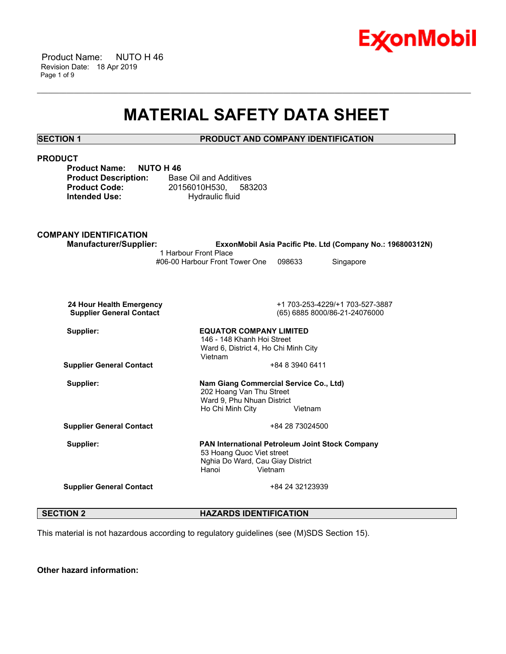

 Product Name: NUTO H 46 Revision Date: 18 Apr 2019 Page 1 of 9

# **MATERIAL SAFETY DATA SHEET**

\_\_\_\_\_\_\_\_\_\_\_\_\_\_\_\_\_\_\_\_\_\_\_\_\_\_\_\_\_\_\_\_\_\_\_\_\_\_\_\_\_\_\_\_\_\_\_\_\_\_\_\_\_\_\_\_\_\_\_\_\_\_\_\_\_\_\_\_\_\_\_\_\_\_\_\_\_\_\_\_\_\_\_\_\_\_\_\_\_\_\_\_\_\_\_\_\_\_\_\_\_\_\_\_\_\_\_\_\_\_\_\_\_\_\_\_\_\_

# **SECTION 1 PRODUCT AND COMPANY IDENTIFICATION**

# **PRODUCT Product Name: NUTO H 46 Product Description:** Base Oil and Additives **Product Code:** 20156010H530, 583203 **Intended Use:** Hydraulic fluid **COMPANY IDENTIFICATION Manufacturer/Supplier: ExxonMobil Asia Pacific Pte. Ltd (Company No.: 196800312N)** 1 Harbour Front Place #06-00 Harbour Front Tower One 098633 Singapore  **24 Hour Health Emergency** +1 703-253-4229/+1 703-527-3887  **Supplier General Contact** (65) 6885 8000/86-21-24076000 **Supplier: EQUATOR COMPANY LIMITED** 146 - 148 Khanh Hoi Street Ward 6, District 4, Ho Chi Minh City Vietnam **Supplier General Contact** +84 8 3940 6411 **Supplier: Nam Giang Commercial Service Co., Ltd)** 202 Hoang Van Thu Street Ward 9, Phu Nhuan District Ho Chi Minh City Vietnam **Supplier General Contact** +84 28 73024500 **Supplier: PAN International Petroleum Joint Stock Company** 53 Hoang Quoc Viet street Nghia Do Ward, Cau Giay District Hanoi Vietnam **Supplier General Contact** +84 24 32123939

**SECTION 2 HAZARDS IDENTIFICATION** 

This material is not hazardous according to regulatory guidelines (see (M)SDS Section 15).

**Other hazard information:**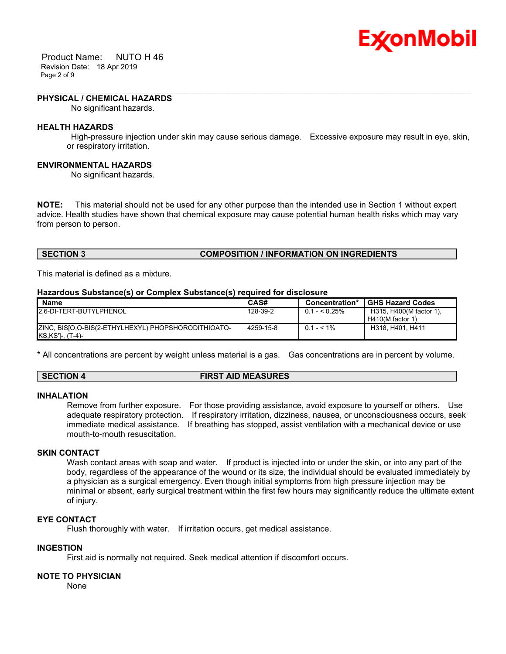

 Product Name: NUTO H 46 Revision Date: 18 Apr 2019 Page 2 of 9

# **PHYSICAL / CHEMICAL HAZARDS**

No significant hazards.

# **HEALTH HAZARDS**

 High-pressure injection under skin may cause serious damage. Excessive exposure may result in eye, skin, or respiratory irritation.

\_\_\_\_\_\_\_\_\_\_\_\_\_\_\_\_\_\_\_\_\_\_\_\_\_\_\_\_\_\_\_\_\_\_\_\_\_\_\_\_\_\_\_\_\_\_\_\_\_\_\_\_\_\_\_\_\_\_\_\_\_\_\_\_\_\_\_\_\_\_\_\_\_\_\_\_\_\_\_\_\_\_\_\_\_\_\_\_\_\_\_\_\_\_\_\_\_\_\_\_\_\_\_\_\_\_\_\_\_\_\_\_\_\_\_\_\_\_

# **ENVIRONMENTAL HAZARDS**

No significant hazards.

**NOTE:** This material should not be used for any other purpose than the intended use in Section 1 without expert advice. Health studies have shown that chemical exposure may cause potential human health risks which may vary from person to person.

# **SECTION 3 COMPOSITION / INFORMATION ON INGREDIENTS**

This material is defined as a mixture.

### **Hazardous Substance(s) or Complex Substance(s) required for disclosure**

| Name                                                                      | CAS#      | Concentration* | <b>GHS Hazard Codes</b>                       |
|---------------------------------------------------------------------------|-----------|----------------|-----------------------------------------------|
| 2.6-DI-TERT-BUTYLPHENOL                                                   | 128-39-2  | $0.1 - 5.25\%$ | H315, H400(M factor 1),<br>$H410(M$ factor 1) |
| ZINC, BISIO, O-BIS(2-ETHYLHEXYL) PHOPSHORODITHIOATO-<br>KS, KS']-, (T-4)- | 4259-15-8 | $0.1 - 5.1\%$  | H318, H401, H411                              |

\* All concentrations are percent by weight unless material is a gas. Gas concentrations are in percent by volume.

### **SECTION 4 FIRST AID MEASURES**

# **INHALATION**

Remove from further exposure. For those providing assistance, avoid exposure to yourself or others. Use adequate respiratory protection. If respiratory irritation, dizziness, nausea, or unconsciousness occurs, seek immediate medical assistance. If breathing has stopped, assist ventilation with a mechanical device or use mouth-to-mouth resuscitation.

# **SKIN CONTACT**

Wash contact areas with soap and water. If product is injected into or under the skin, or into any part of the body, regardless of the appearance of the wound or its size, the individual should be evaluated immediately by a physician as a surgical emergency. Even though initial symptoms from high pressure injection may be minimal or absent, early surgical treatment within the first few hours may significantly reduce the ultimate extent of injury.

# **EYE CONTACT**

Flush thoroughly with water. If irritation occurs, get medical assistance.

# **INGESTION**

First aid is normally not required. Seek medical attention if discomfort occurs.

# **NOTE TO PHYSICIAN**

None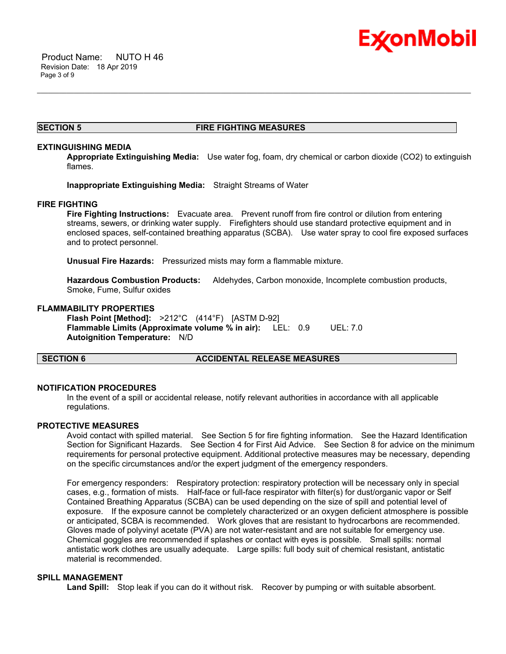

# **SECTION 5 FIRE FIGHTING MEASURES**

\_\_\_\_\_\_\_\_\_\_\_\_\_\_\_\_\_\_\_\_\_\_\_\_\_\_\_\_\_\_\_\_\_\_\_\_\_\_\_\_\_\_\_\_\_\_\_\_\_\_\_\_\_\_\_\_\_\_\_\_\_\_\_\_\_\_\_\_\_\_\_\_\_\_\_\_\_\_\_\_\_\_\_\_\_\_\_\_\_\_\_\_\_\_\_\_\_\_\_\_\_\_\_\_\_\_\_\_\_\_\_\_\_\_\_\_\_\_

# **EXTINGUISHING MEDIA**

**Appropriate Extinguishing Media:** Use water fog, foam, dry chemical or carbon dioxide (CO2) to extinguish flames.

**Inappropriate Extinguishing Media:** Straight Streams of Water

# **FIRE FIGHTING**

**Fire Fighting Instructions:** Evacuate area. Prevent runoff from fire control or dilution from entering streams, sewers, or drinking water supply. Firefighters should use standard protective equipment and in enclosed spaces, self-contained breathing apparatus (SCBA). Use water spray to cool fire exposed surfaces and to protect personnel.

**Unusual Fire Hazards:** Pressurized mists may form a flammable mixture.

**Hazardous Combustion Products:** Aldehydes, Carbon monoxide, Incomplete combustion products, Smoke, Fume, Sulfur oxides

# **FLAMMABILITY PROPERTIES**

**Flash Point [Method]:** >212°C (414°F) [ASTM D-92] **Flammable Limits (Approximate volume % in air):** LEL: 0.9 UEL: 7.0 **Autoignition Temperature:** N/D

# **SECTION 6 ACCIDENTAL RELEASE MEASURES**

# **NOTIFICATION PROCEDURES**

In the event of a spill or accidental release, notify relevant authorities in accordance with all applicable regulations.

# **PROTECTIVE MEASURES**

Avoid contact with spilled material. See Section 5 for fire fighting information. See the Hazard Identification Section for Significant Hazards. See Section 4 for First Aid Advice. See Section 8 for advice on the minimum requirements for personal protective equipment. Additional protective measures may be necessary, depending on the specific circumstances and/or the expert judgment of the emergency responders.

For emergency responders: Respiratory protection: respiratory protection will be necessary only in special cases, e.g., formation of mists. Half-face or full-face respirator with filter(s) for dust/organic vapor or Self Contained Breathing Apparatus (SCBA) can be used depending on the size of spill and potential level of exposure. If the exposure cannot be completely characterized or an oxygen deficient atmosphere is possible or anticipated, SCBA is recommended. Work gloves that are resistant to hydrocarbons are recommended. Gloves made of polyvinyl acetate (PVA) are not water-resistant and are not suitable for emergency use. Chemical goggles are recommended if splashes or contact with eyes is possible. Small spills: normal antistatic work clothes are usually adequate. Large spills: full body suit of chemical resistant, antistatic material is recommended.

# **SPILL MANAGEMENT**

Land Spill: Stop leak if you can do it without risk. Recover by pumping or with suitable absorbent.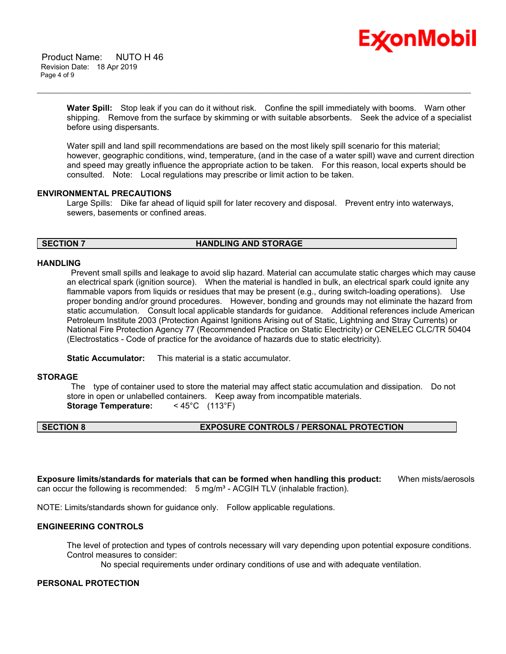

 Product Name: NUTO H 46 Revision Date: 18 Apr 2019 Page 4 of 9

> **Water Spill:** Stop leak if you can do it without risk. Confine the spill immediately with booms. Warn other shipping. Remove from the surface by skimming or with suitable absorbents. Seek the advice of a specialist before using dispersants.

\_\_\_\_\_\_\_\_\_\_\_\_\_\_\_\_\_\_\_\_\_\_\_\_\_\_\_\_\_\_\_\_\_\_\_\_\_\_\_\_\_\_\_\_\_\_\_\_\_\_\_\_\_\_\_\_\_\_\_\_\_\_\_\_\_\_\_\_\_\_\_\_\_\_\_\_\_\_\_\_\_\_\_\_\_\_\_\_\_\_\_\_\_\_\_\_\_\_\_\_\_\_\_\_\_\_\_\_\_\_\_\_\_\_\_\_\_\_

Water spill and land spill recommendations are based on the most likely spill scenario for this material; however, geographic conditions, wind, temperature, (and in the case of a water spill) wave and current direction and speed may greatly influence the appropriate action to be taken. For this reason, local experts should be consulted. Note: Local regulations may prescribe or limit action to be taken.

# **ENVIRONMENTAL PRECAUTIONS**

Large Spills: Dike far ahead of liquid spill for later recovery and disposal. Prevent entry into waterways, sewers, basements or confined areas.

# **SECTION 7 HANDLING AND STORAGE**

# **HANDLING**

 Prevent small spills and leakage to avoid slip hazard. Material can accumulate static charges which may cause an electrical spark (ignition source). When the material is handled in bulk, an electrical spark could ignite any flammable vapors from liquids or residues that may be present (e.g., during switch-loading operations). Use proper bonding and/or ground procedures. However, bonding and grounds may not eliminate the hazard from static accumulation. Consult local applicable standards for guidance. Additional references include American Petroleum Institute 2003 (Protection Against Ignitions Arising out of Static, Lightning and Stray Currents) or National Fire Protection Agency 77 (Recommended Practice on Static Electricity) or CENELEC CLC/TR 50404 (Electrostatics - Code of practice for the avoidance of hazards due to static electricity).

**Static Accumulator:** This material is a static accumulator.

# **STORAGE**

 The type of container used to store the material may affect static accumulation and dissipation. Do not store in open or unlabelled containers. Keep away from incompatible materials. **Storage Temperature:** < 45°C (113°F)

# **SECTION 8 EXPOSURE CONTROLS / PERSONAL PROTECTION**

**Exposure limits/standards for materials that can be formed when handling this product:** When mists/aerosols can occur the following is recommended:  $5$  mg/m<sup>3</sup> - ACGIH TLV (inhalable fraction).

NOTE: Limits/standards shown for guidance only. Follow applicable regulations.

# **ENGINEERING CONTROLS**

The level of protection and types of controls necessary will vary depending upon potential exposure conditions. Control measures to consider:

No special requirements under ordinary conditions of use and with adequate ventilation.

# **PERSONAL PROTECTION**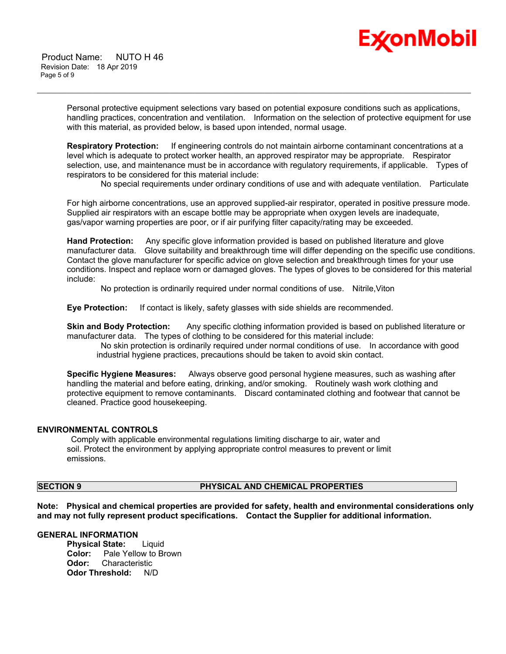

 Product Name: NUTO H 46 Revision Date: 18 Apr 2019 Page 5 of 9

> Personal protective equipment selections vary based on potential exposure conditions such as applications, handling practices, concentration and ventilation. Information on the selection of protective equipment for use with this material, as provided below, is based upon intended, normal usage.

\_\_\_\_\_\_\_\_\_\_\_\_\_\_\_\_\_\_\_\_\_\_\_\_\_\_\_\_\_\_\_\_\_\_\_\_\_\_\_\_\_\_\_\_\_\_\_\_\_\_\_\_\_\_\_\_\_\_\_\_\_\_\_\_\_\_\_\_\_\_\_\_\_\_\_\_\_\_\_\_\_\_\_\_\_\_\_\_\_\_\_\_\_\_\_\_\_\_\_\_\_\_\_\_\_\_\_\_\_\_\_\_\_\_\_\_\_\_

**Respiratory Protection:** If engineering controls do not maintain airborne contaminant concentrations at a level which is adequate to protect worker health, an approved respirator may be appropriate. Respirator selection, use, and maintenance must be in accordance with regulatory requirements, if applicable. Types of respirators to be considered for this material include:

No special requirements under ordinary conditions of use and with adequate ventilation. Particulate

For high airborne concentrations, use an approved supplied-air respirator, operated in positive pressure mode. Supplied air respirators with an escape bottle may be appropriate when oxygen levels are inadequate, gas/vapor warning properties are poor, or if air purifying filter capacity/rating may be exceeded.

**Hand Protection:** Any specific glove information provided is based on published literature and glove manufacturer data. Glove suitability and breakthrough time will differ depending on the specific use conditions. Contact the glove manufacturer for specific advice on glove selection and breakthrough times for your use conditions. Inspect and replace worn or damaged gloves. The types of gloves to be considered for this material include:

No protection is ordinarily required under normal conditions of use. Nitrile,Viton

**Eye Protection:** If contact is likely, safety glasses with side shields are recommended.

**Skin and Body Protection:** Any specific clothing information provided is based on published literature or manufacturer data. The types of clothing to be considered for this material include:

 No skin protection is ordinarily required under normal conditions of use. In accordance with good industrial hygiene practices, precautions should be taken to avoid skin contact.

**Specific Hygiene Measures:** Always observe good personal hygiene measures, such as washing after handling the material and before eating, drinking, and/or smoking. Routinely wash work clothing and protective equipment to remove contaminants. Discard contaminated clothing and footwear that cannot be cleaned. Practice good housekeeping.

# **ENVIRONMENTAL CONTROLS**

 Comply with applicable environmental regulations limiting discharge to air, water and soil. Protect the environment by applying appropriate control measures to prevent or limit emissions.

# **SECTION 9 PHYSICAL AND CHEMICAL PROPERTIES**

**Note: Physical and chemical properties are provided for safety, health and environmental considerations only and may not fully represent product specifications. Contact the Supplier for additional information.**

# **GENERAL INFORMATION**

**Physical State:** Liquid **Color:** Pale Yellow to Brown **Odor:** Characteristic **Odor Threshold:** N/D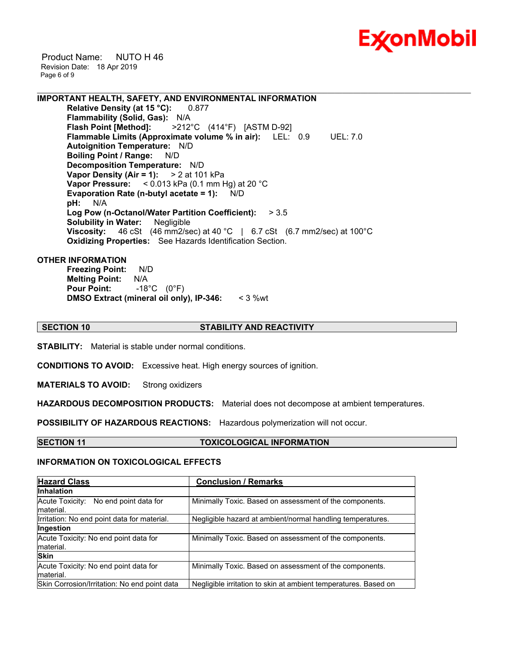

 Product Name: NUTO H 46 Revision Date: 18 Apr 2019 Page 6 of 9

**IMPORTANT HEALTH, SAFETY, AND ENVIRONMENTAL INFORMATION Relative Density (at 15 °C):** 0.877 **Flammability (Solid, Gas):** N/A<br>**Flash Point [Method]:** >212<sup>°</sup> **Flash Point [Method]:** >212°C (414°F) [ASTM D-92] **Flammable Limits (Approximate volume % in air):** LEL: 0.9 UEL: 7.0 **Autoignition Temperature:** N/D **Boiling Point / Range:** N/D **Decomposition Temperature:** N/D **Vapor Density (Air = 1):** > 2 at 101 kPa **Vapor Pressure:** < 0.013 kPa (0.1 mm Hg) at 20 °C **Evaporation Rate (n-butyl acetate = 1):** N/D **pH:** N/A **Log Pow (n-Octanol/Water Partition Coefficient):** > 3.5 **Solubility in Water:** Negligible **Viscosity:** 46 cSt (46 mm2/sec) at 40 °C | 6.7 cSt (6.7 mm2/sec) at 100 °C **Oxidizing Properties:** See Hazards Identification Section.

# **OTHER INFORMATION**

**Freezing Point:** N/D **Melting Point:** N/A **Pour Point:** -18°C (0°F) **DMSO Extract (mineral oil only), IP-346:** < 3 %wt

# **SECTION 10 STABILITY AND REACTIVITY**

\_\_\_\_\_\_\_\_\_\_\_\_\_\_\_\_\_\_\_\_\_\_\_\_\_\_\_\_\_\_\_\_\_\_\_\_\_\_\_\_\_\_\_\_\_\_\_\_\_\_\_\_\_\_\_\_\_\_\_\_\_\_\_\_\_\_\_\_\_\_\_\_\_\_\_\_\_\_\_\_\_\_\_\_\_\_\_\_\_\_\_\_\_\_\_\_\_\_\_\_\_\_\_\_\_\_\_\_\_\_\_\_\_\_\_\_\_\_

**STABILITY:** Material is stable under normal conditions.

**CONDITIONS TO AVOID:** Excessive heat. High energy sources of ignition.

**MATERIALS TO AVOID:** Strong oxidizers

**HAZARDOUS DECOMPOSITION PRODUCTS:** Material does not decompose at ambient temperatures.

**POSSIBILITY OF HAZARDOUS REACTIONS:** Hazardous polymerization will not occur.

### **SECTION 11 TOXICOLOGICAL INFORMATION**

## **INFORMATION ON TOXICOLOGICAL EFFECTS**

| <b>Hazard Class</b>                                | <b>Conclusion / Remarks</b>                                     |
|----------------------------------------------------|-----------------------------------------------------------------|
| <b>Inhalation</b>                                  |                                                                 |
| Acute Toxicity: No end point data for<br>material. | Minimally Toxic. Based on assessment of the components.         |
| Irritation: No end point data for material.        | Negligible hazard at ambient/normal handling temperatures.      |
| Ingestion                                          |                                                                 |
| Acute Toxicity: No end point data for<br>material. | Minimally Toxic. Based on assessment of the components.         |
| <b>Skin</b>                                        |                                                                 |
| Acute Toxicity: No end point data for<br>material. | Minimally Toxic. Based on assessment of the components.         |
| Skin Corrosion/Irritation: No end point data       | Negligible irritation to skin at ambient temperatures. Based on |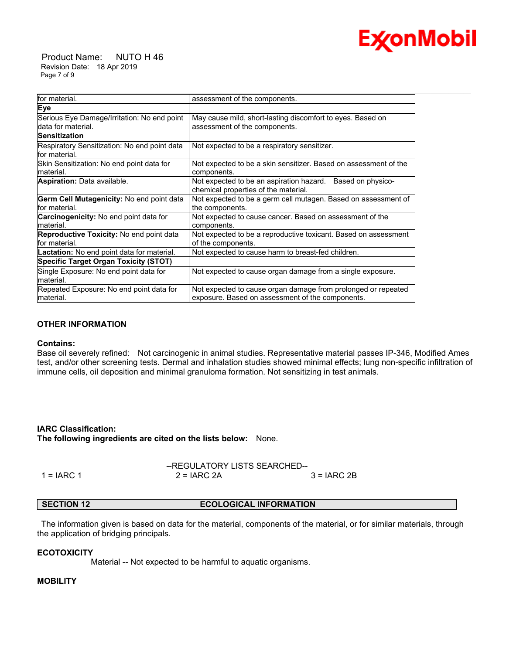

 Product Name: NUTO H 46 Revision Date: 18 Apr 2019 Page 7 of 9

| assessment of the components.<br>May cause mild, short-lasting discomfort to eyes. Based on<br>assessment of the components.<br>Not expected to be a respiratory sensitizer.<br>Not expected to be a skin sensitizer. Based on assessment of the<br>components.<br>Not expected to be an aspiration hazard. Based on physico-<br>chemical properties of the material.<br>Not expected to be a germ cell mutagen. Based on assessment of<br>the components.<br>Not expected to cause cancer. Based on assessment of the<br>components.<br>Not expected to be a reproductive toxicant. Based on assessment<br>of the components.<br>Not expected to cause harm to breast-fed children.<br>Not expected to cause organ damage from a single exposure.<br>Not expected to cause organ damage from prolonged or repeated<br>exposure. Based on assessment of the components. |                                                                    |  |
|-------------------------------------------------------------------------------------------------------------------------------------------------------------------------------------------------------------------------------------------------------------------------------------------------------------------------------------------------------------------------------------------------------------------------------------------------------------------------------------------------------------------------------------------------------------------------------------------------------------------------------------------------------------------------------------------------------------------------------------------------------------------------------------------------------------------------------------------------------------------------|--------------------------------------------------------------------|--|
|                                                                                                                                                                                                                                                                                                                                                                                                                                                                                                                                                                                                                                                                                                                                                                                                                                                                         | for material.                                                      |  |
|                                                                                                                                                                                                                                                                                                                                                                                                                                                                                                                                                                                                                                                                                                                                                                                                                                                                         | Eye                                                                |  |
|                                                                                                                                                                                                                                                                                                                                                                                                                                                                                                                                                                                                                                                                                                                                                                                                                                                                         | Serious Eye Damage/Irritation: No end point<br>ldata for material. |  |
|                                                                                                                                                                                                                                                                                                                                                                                                                                                                                                                                                                                                                                                                                                                                                                                                                                                                         | <b>Sensitization</b>                                               |  |
|                                                                                                                                                                                                                                                                                                                                                                                                                                                                                                                                                                                                                                                                                                                                                                                                                                                                         | Respiratory Sensitization: No end point data<br>for material.      |  |
|                                                                                                                                                                                                                                                                                                                                                                                                                                                                                                                                                                                                                                                                                                                                                                                                                                                                         | Skin Sensitization: No end point data for<br>lmaterial.            |  |
|                                                                                                                                                                                                                                                                                                                                                                                                                                                                                                                                                                                                                                                                                                                                                                                                                                                                         | <b>Aspiration: Data available.</b>                                 |  |
|                                                                                                                                                                                                                                                                                                                                                                                                                                                                                                                                                                                                                                                                                                                                                                                                                                                                         | <b>Germ Cell Mutagenicity: No end point data</b><br>for material.  |  |
|                                                                                                                                                                                                                                                                                                                                                                                                                                                                                                                                                                                                                                                                                                                                                                                                                                                                         | <b>Carcinogenicity:</b> No end point data for<br>material.         |  |
|                                                                                                                                                                                                                                                                                                                                                                                                                                                                                                                                                                                                                                                                                                                                                                                                                                                                         | <b>Reproductive Toxicity:</b> No end point data<br>for material.   |  |
|                                                                                                                                                                                                                                                                                                                                                                                                                                                                                                                                                                                                                                                                                                                                                                                                                                                                         | Lactation: No end point data for material.                         |  |
|                                                                                                                                                                                                                                                                                                                                                                                                                                                                                                                                                                                                                                                                                                                                                                                                                                                                         | Specific Target Organ Toxicity (STOT)                              |  |
|                                                                                                                                                                                                                                                                                                                                                                                                                                                                                                                                                                                                                                                                                                                                                                                                                                                                         | Single Exposure: No end point data for<br>material.                |  |
|                                                                                                                                                                                                                                                                                                                                                                                                                                                                                                                                                                                                                                                                                                                                                                                                                                                                         | Repeated Exposure: No end point data for<br>material.              |  |

# **OTHER INFORMATION**

# **Contains:**

Base oil severely refined: Not carcinogenic in animal studies. Representative material passes IP-346, Modified Ames test, and/or other screening tests. Dermal and inhalation studies showed minimal effects; lung non-specific infiltration of immune cells, oil deposition and minimal granuloma formation. Not sensitizing in test animals.

**IARC Classification: The following ingredients are cited on the lists below:** None.

|              | --REGULATORY LISTS SEARCHED-- |               |  |
|--------------|-------------------------------|---------------|--|
| $1 = IARC 1$ | $2 = IARC 2A$                 | $3 = IARC 2B$ |  |

# **SECTION 12 ECOLOGICAL INFORMATION**

 The information given is based on data for the material, components of the material, or for similar materials, through the application of bridging principals.

# **ECOTOXICITY**

Material -- Not expected to be harmful to aquatic organisms.

# **MOBILITY**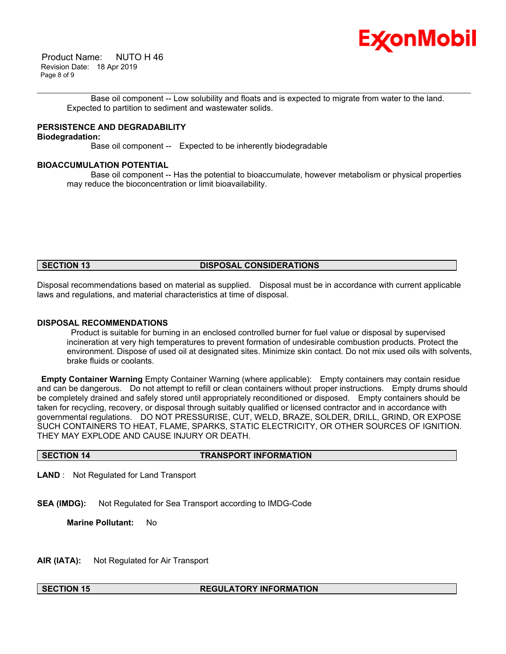

 Product Name: NUTO H 46 Revision Date: 18 Apr 2019 Page 8 of 9

\_\_\_\_\_\_\_\_\_\_\_\_\_\_\_\_\_\_\_\_\_\_\_\_\_\_\_\_\_\_\_\_\_\_\_\_\_\_\_\_\_\_\_\_\_\_\_\_\_\_\_\_\_\_\_\_\_\_\_\_\_\_\_\_\_\_\_\_\_\_\_\_\_\_\_\_\_\_\_\_\_\_\_\_\_\_\_\_\_\_\_\_\_\_\_\_\_\_\_\_\_\_\_\_\_\_\_\_\_\_\_\_\_\_\_\_\_\_ Base oil component -- Low solubility and floats and is expected to migrate from water to the land. Expected to partition to sediment and wastewater solids.

# **PERSISTENCE AND DEGRADABILITY**

# **Biodegradation:**

Base oil component -- Expected to be inherently biodegradable

# **BIOACCUMULATION POTENTIAL**

 Base oil component -- Has the potential to bioaccumulate, however metabolism or physical properties may reduce the bioconcentration or limit bioavailability.

# **SECTION 13 DISPOSAL CONSIDERATIONS**

Disposal recommendations based on material as supplied. Disposal must be in accordance with current applicable laws and regulations, and material characteristics at time of disposal.

# **DISPOSAL RECOMMENDATIONS**

 Product is suitable for burning in an enclosed controlled burner for fuel value or disposal by supervised incineration at very high temperatures to prevent formation of undesirable combustion products. Protect the environment. Dispose of used oil at designated sites. Minimize skin contact. Do not mix used oils with solvents, brake fluids or coolants.

**Empty Container Warning** Empty Container Warning (where applicable): Empty containers may contain residue and can be dangerous. Do not attempt to refill or clean containers without proper instructions. Empty drums should be completely drained and safely stored until appropriately reconditioned or disposed. Empty containers should be taken for recycling, recovery, or disposal through suitably qualified or licensed contractor and in accordance with governmental regulations. DO NOT PRESSURISE, CUT, WELD, BRAZE, SOLDER, DRILL, GRIND, OR EXPOSE SUCH CONTAINERS TO HEAT, FLAME, SPARKS, STATIC ELECTRICITY, OR OTHER SOURCES OF IGNITION. THEY MAY EXPLODE AND CAUSE INJURY OR DEATH.

# **SECTION 14 TRANSPORT INFORMATION**

**LAND** : Not Regulated for Land Transport

**SEA (IMDG):** Not Regulated for Sea Transport according to IMDG-Code

**Marine Pollutant:** No

**AIR (IATA):** Not Regulated for Air Transport

# **SECTION 15 REGULATORY INFORMATION**